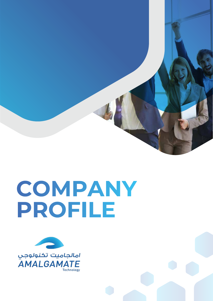

# COMPANY PROFILE

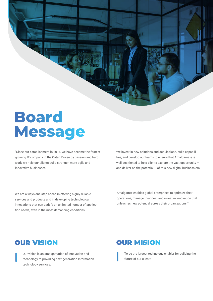

# **Board Message**

"Since our establishment in 2014, we have become the fastest growing IT company in the Qatar. Driven by passion and hard work, we help our clients build stronger, more agile and innovative businesses.

We invest in new solutions and acquisitions, build capabilities, and develop our teams to ensure that Amalgamate is well positioned to help clients explore the vast opportunity – and deliver on the potential  $-$  of this new digital business era

We are always one step ahead in offering highly reliable services and products and in developing technological innovations that can satisfy an unlimited number of application needs, even in the most demanding conditions.

Amalgamte enables global enterprises to optimize their operations, manage their cost and invest in innovation that unleashes new potential across their organizations."

#### **OUR VISION**

Our vision is an amalgamation of innovation and technology to providing next-generation Information technology services.

#### **OUR MISION**

To be the largest technology enabler for building the future of our clients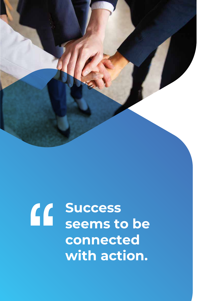

# **Success seems to be connected with action.**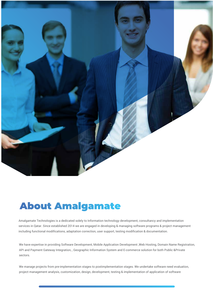

### **About Amalgamate**

Amalgamate Technologies is a dedicated solely to Information technology development, consultancy and implementation services in Qatar. Since established 2014 we are engaged in developing & managing software programs & project management including functional modifications, adaptation correction, user support, testing modification & documentation.

We have expertise in providing Software Development, Mobile Application Development ,Web Hosting, Domain Name Registration, API and Payment Gateway Integration, , Geographic Information System and E-commerce solution for both Public &Private sectors.

We manage projects from pre-implementation stages to postimplementation stages. We undertake software need evaluation, project management analysis, customization, design, development, testing & implementation of application of software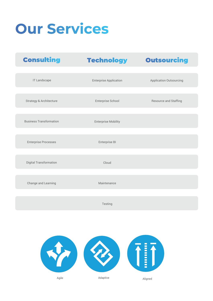# **Our Services**

| <b>Consulting</b>              | <b>Technology</b>             | <b>Outsourcing</b>             |
|--------------------------------|-------------------------------|--------------------------------|
|                                |                               |                                |
| <b>IT Landscape</b>            | <b>Enterprise Application</b> | <b>Application Outsourcing</b> |
| Strategy & Architecture        | Enterprise School             | Resource and Staffing          |
| <b>Business Transformation</b> | <b>Enterprise Mobility</b>    |                                |
|                                |                               |                                |
| <b>Enterprise Processes</b>    | Enterprise BI                 |                                |
| Digital Transformation         | Cloud                         |                                |
| Change and Learning            | Maintenance                   |                                |
|                                |                               |                                |
|                                | Testing                       |                                |

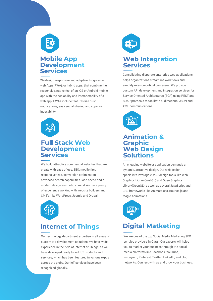

#### **Mobile App Development Services**

We design responsive and adaptive Progressive web Apps(PWA), or hybrid apps, that combine the responsive, native feel of an iOS or Android mobile app with the scalability and interoperability of a web app. PWAs include features like push notifications, easy social sharing and superior indexability



#### **Full Stack Web Development Services**

We build attractive commercial websites that are create with ease of use, SEO, mobile-first responsiveness, conversion optimization, advanced search capabilities, load speed and a modern design aesthetic in mind.We have plenty of experience working with website builders and CMS's, like WordPress, Joomla and Drupal



#### **Internet of Things**

Our technology department expertise in all areas of custom IoT development solutions. We have wide experience in the field of Internet of Things, as we have developed ready to sell IoT products and services, which has been featured in various expos across the globe. Our IoT services have been recognized globally.



#### **Web Integration Services**

Consolidating disparate enterprise web applications helps organizations streamline workflows and simplify mission-critical processes. We provide custom API development and integration services for Service-Oriented Architectures (SOA) using REST and SOAP protocols to facilitate bi-directional JSON and XML communications



#### **Animation & Graphic Web Design Solutions**

An engaging website or application demands a dynamic, attractive design. Our web design specialists leverage 2D/3D design tools like Web Graphics Library(WebGL) and Open Graphics Library(OpenGL), as well as several JavaScript and CSS frameworks like Animate.css, Bounce.js and Magic Animations.



### **Digital Matketing**

We are one of the top Social Media Marketing SEO serrvice providers in Qatar. Our experts will helps you to market your business through the social media platforms like Facebook, YouTube, Instagram, Pinterest, Twitter, LinkedIn, and blog networks. Connect with us and grow your business.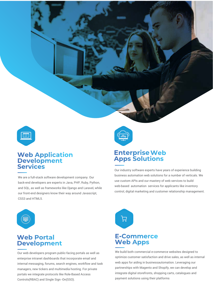

### **Web Application<br>Development Services**

We are a full-stack software development company. Our back-end developers are experts in Java, PHP, Ruby, Python, and SQL, as well as frameworks like Django and Laravel, while our front-end designers know their way around Javascript, CSS3 and HTML5.



#### **Enterprise Web Apps Solutions**

Our industry software experts have years of experience building business automation web solutions for a number of verticals. We use custom APIs and our mastery of web services to build web-based automation services for applicants like inventory control, digital marketing and customer relationship management.



#### **Web Portal Development**

Our web developers program public-facing portals as well as enterprise intranet dashboards that incorporate email and internal messaging, forums, search engines, workflow and task managers, new tickers and multimedia hosting. For private portals we integrate protocols like Role-Based Access Controls(RBAC) and Single Sign -On(SSO).



#### **E-Commerce Web Apps**

We build both commercial e-commerce websites designed to optimize customer satisfaction and drive sales, as well as internal web apps for aiding in businessautomation. Leveraging our partnerships with Magento and Shopify, we can develop and integrate digital storefronts, shopping carts, catalogues and payment solutions using their platforms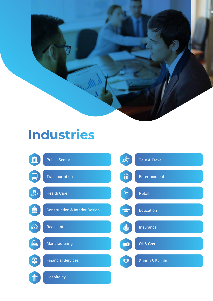

### **Industries**

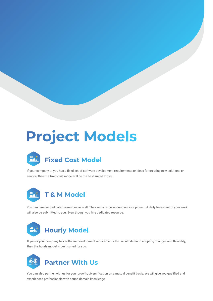## **Project Models**



If your company or you has a fixed set of software development requirements or ideas for creating new solutions or service, then the fixed cost model will be the best suited for you.



You can hire our dedicated resources as well. They will only be working on your project. A daily timesheet of your work will also be submitted to you. Even though you hire dedicated resource.



If you or your company has software development requirements that would demand adopting changes and flexibility, then the hourly model is best suited for you.



You can also partner with us for your growth, diversification on a mutual benefit basis. We will give you qualified and experienced professionals with sound domain knowledge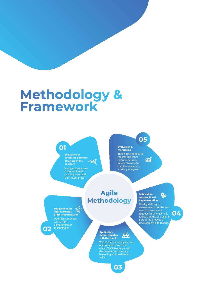# Methodology &<br>Framework

**01**

#### **Evaluation of processes & current structure of the company** Mapping processes

to determine the starting point and the 'Actual State'

**05**

 $\hat{\mathbf{m}}$ 

These determine KPIs, reports and other metrics, per user, in order to monitor that the process is working as agreed. **Evaluation & monitoring**

#### **Agile Methodology**

**Suggestions for**<br>**Suggestions for improvement & process optimization** Optimize a process with a right combination of technologies

**02**

#### **Application** 蛊 **design together with the client**

We choose technologies and review options with the client. The client is part of the project from the very beginning and feed back is **VITAL** 

**03**

#### **Application,**  $\frac{1}{2}$ **construction & implementation**

Weekly delivery of developments for the end user to operate and request for changes. It is IDEAL that the end user is part of the process of development and testing.

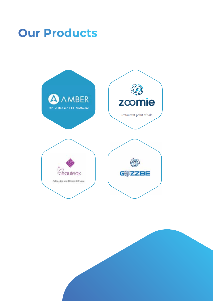### **Our Products**